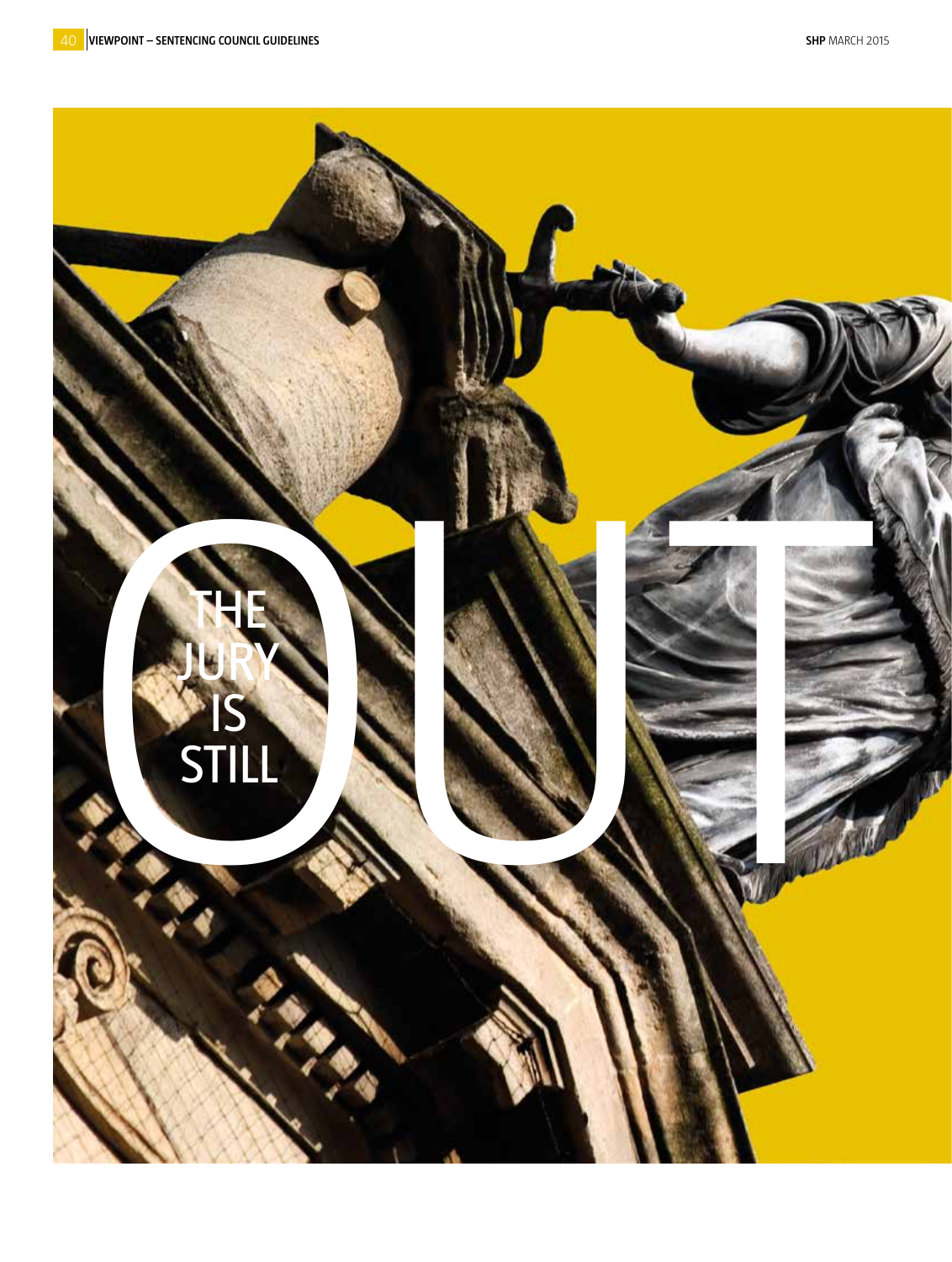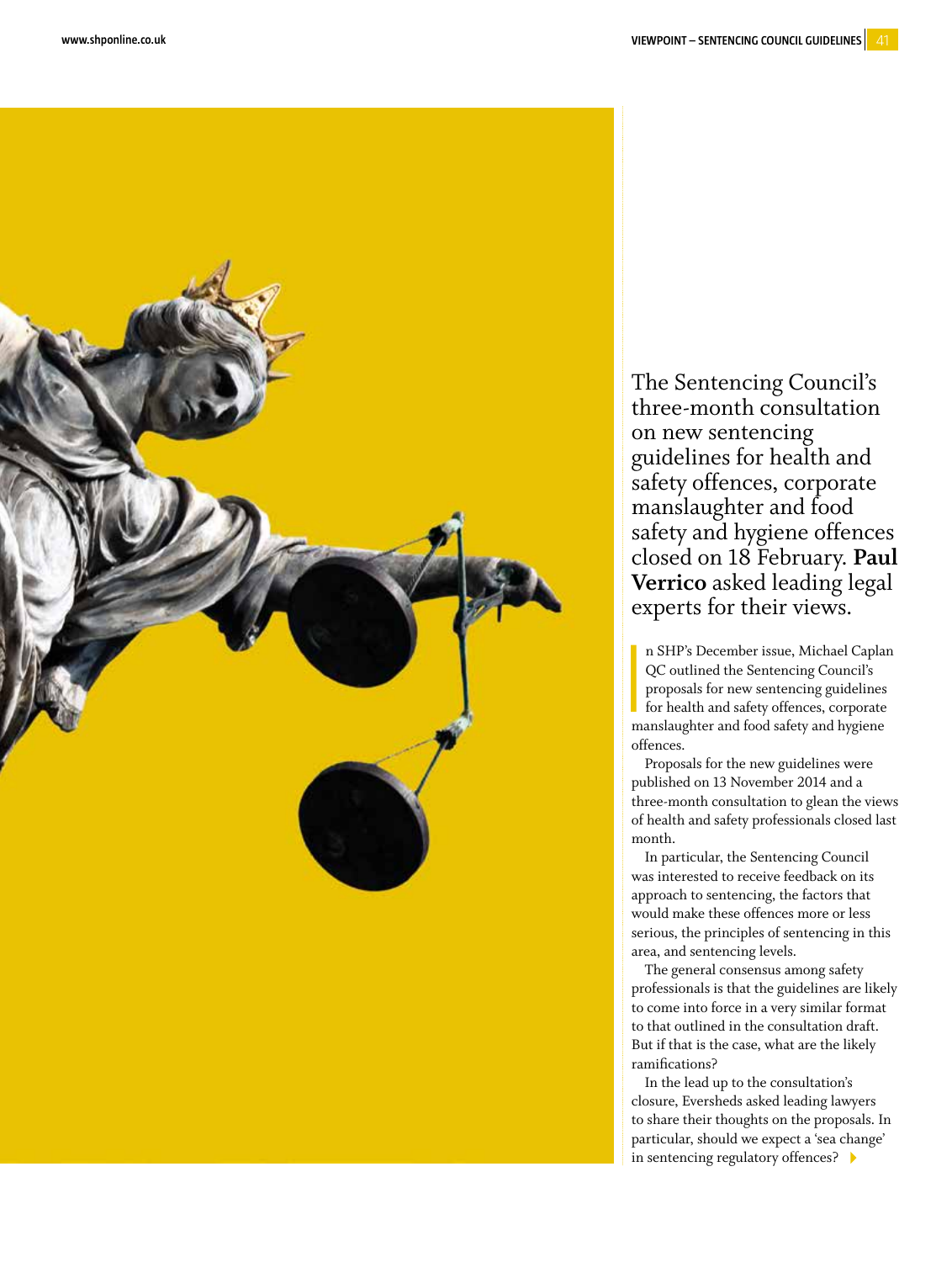

The Sentencing Council's three-month consultation on new sentencing guidelines for health and safety offences, corporate manslaughter and food safety and hygiene offences closed on 18 February. **Paul Verrico** asked leading legal

<u>In the contract of the contract of the contract of the contract of the contract of the contract of the contract of the contract of the contract of the contract of the contract of the contract of the contract of the contra</u> n SHP's December issue, Michael Caplan QC outlined the Sentencing Council's proposals for new sentencing guidelines for health and safety offences, corporate manslaughter and food safety and hygiene offences.

Proposals for the new guidelines were published on 13 November 2014 and a three-month consultation to glean the views of health and safety professionals closed last month.

In particular, the Sentencing Council was interested to receive feedback on its approach to sentencing, the factors that would make these offences more or less serious, the principles of sentencing in this area, and sentencing levels.

The general consensus among safety professionals is that the guidelines are likely to come into force in a very similar format to that outlined in the consultation draft. But if that is the case, what are the likely ramifications?

In the lead up to the consultation's closure, Eversheds asked leading lawyers to share their thoughts on the proposals. In particular, should we expect a 'sea change' in sentencing regulatory offences?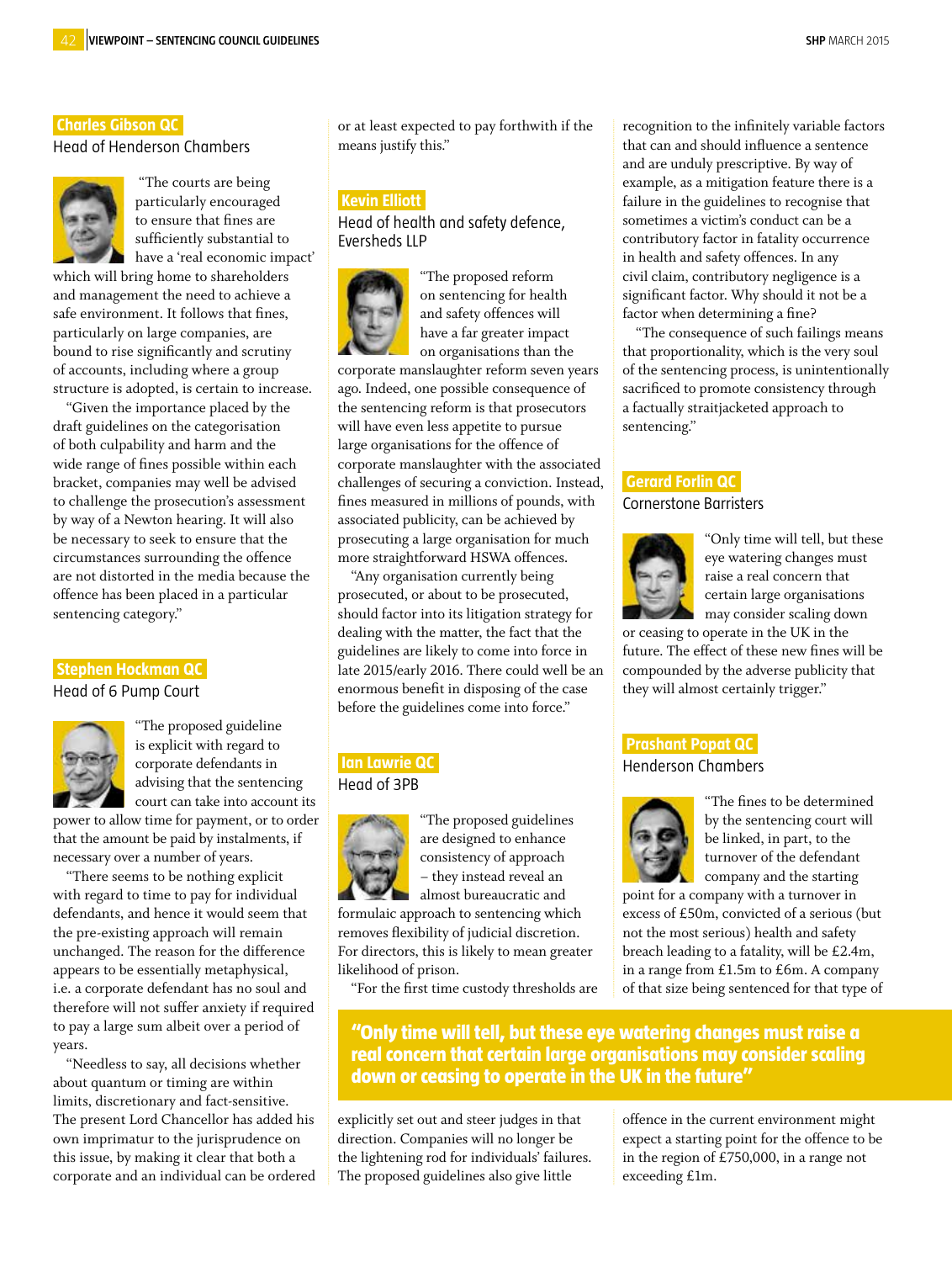# **Charles Gibson QC.**

Head of Henderson Chambers



 "The courts are being particularly encouraged to ensure that fines are sufficiently substantial to have a 'real economic impact'

which will bring home to shareholders and management the need to achieve a safe environment. It follows that fines, particularly on large companies, are bound to rise significantly and scrutiny of accounts, including where a group structure is adopted, is certain to increase.

"Given the importance placed by the draft guidelines on the categorisation of both culpability and harm and the wide range of fines possible within each bracket, companies may well be advised to challenge the prosecution's assessment by way of a Newton hearing. It will also be necessary to seek to ensure that the circumstances surrounding the offence are not distorted in the media because the offence has been placed in a particular sentencing category."

#### **Stephen Hockman QC.**

Head of 6 Pump Court



"The proposed guideline is explicit with regard to corporate defendants in advising that the sentencing court can take into account its

power to allow time for payment, or to order that the amount be paid by instalments, if necessary over a number of years.

"There seems to be nothing explicit with regard to time to pay for individual defendants, and hence it would seem that the pre-existing approach will remain unchanged. The reason for the difference appears to be essentially metaphysical, i.e. a corporate defendant has no soul and therefore will not suffer anxiety if required to pay a large sum albeit over a period of years.

"Needless to say, all decisions whether about quantum or timing are within limits, discretionary and fact-sensitive. The present Lord Chancellor has added his own imprimatur to the jurisprudence on this issue, by making it clear that both a corporate and an individual can be ordered

or at least expected to pay forthwith if the means justify this."

#### **Kevin Elliott.**

Head of health and safety defence, Eversheds LLP



"The proposed reform on sentencing for health and safety offences will have a far greater impact on organisations than the

corporate manslaughter reform seven years ago. Indeed, one possible consequence of the sentencing reform is that prosecutors will have even less appetite to pursue large organisations for the offence of corporate manslaughter with the associated challenges of securing a conviction. Instead, fines measured in millions of pounds, with associated publicity, can be achieved by prosecuting a large organisation for much more straightforward HSWA offences.

"Any organisation currently being prosecuted, or about to be prosecuted, should factor into its litigation strategy for dealing with the matter, the fact that the guidelines are likely to come into force in late 2015/early 2016. There could well be an enormous benefit in disposing of the case before the guidelines come into force."

## **Ian Lawrie QC,**  Head of 3PB



"The proposed guidelines are designed to enhance consistency of approach – they instead reveal an almost bureaucratic and

formulaic approach to sentencing which removes flexibility of judicial discretion. For directors, this is likely to mean greater likelihood of prison.

"For the first time custody thresholds are

recognition to the infinitely variable factors that can and should influence a sentence and are unduly prescriptive. By way of example, as a mitigation feature there is a failure in the guidelines to recognise that sometimes a victim's conduct can be a contributory factor in fatality occurrence in health and safety offences. In any civil claim, contributory negligence is a significant factor. Why should it not be a factor when determining a fine?

"The consequence of such failings means that proportionality, which is the very soul of the sentencing process, is unintentionally sacrificed to promote consistency through a factually straitjacketed approach to sentencing."

## **Gerard Forlin QC,**

### Cornerstone Barristers



"Only time will tell, but these eye watering changes must raise a real concern that certain large organisations may consider scaling down

or ceasing to operate in the UK in the future. The effect of these new fines will be compounded by the adverse publicity that they will almost certainly trigger."

### **Prashant Popat QC,**

Henderson Chambers



"The fines to be determined by the sentencing court will be linked, in part, to the turnover of the defendant company and the starting

point for a company with a turnover in excess of £50m, convicted of a serious (but not the most serious) health and safety breach leading to a fatality, will be £2.4m, in a range from £1.5m to £6m. A company of that size being sentenced for that type of

**"Only time will tell, but these eye watering changes must raise a real concern that certain large organisations may consider scaling down or ceasing to operate in the UK in the future"**

explicitly set out and steer judges in that direction. Companies will no longer be the lightening rod for individuals' failures. The proposed guidelines also give little

offence in the current environment might expect a starting point for the offence to be in the region of £750,000, in a range not exceeding £1m.